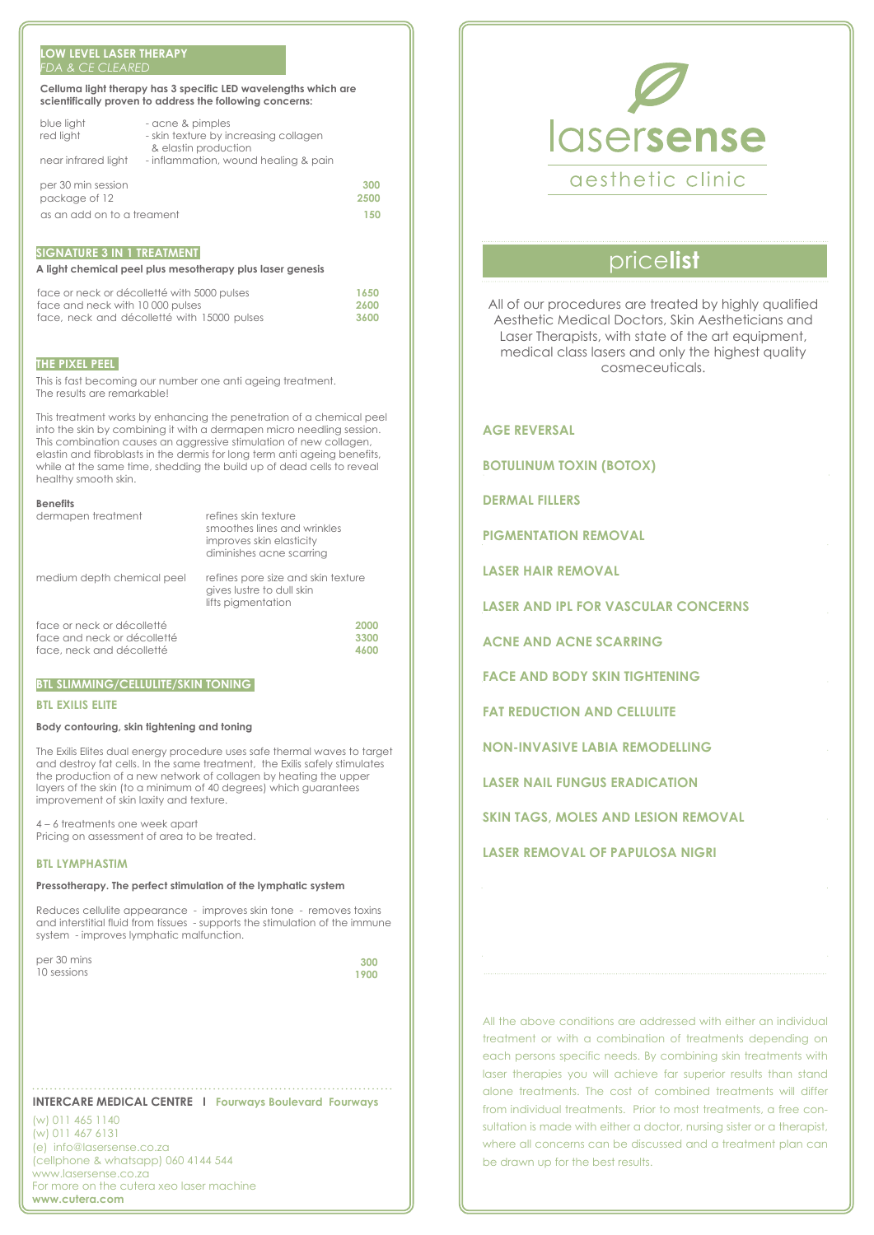#### **LOW LEVEL LASER THERAPY**  *FDA & CE CLEARED*

| Celluma light therapy has 3 specific LED wavelengths which are |
|----------------------------------------------------------------|
| scientifically proven to address the following concerns:       |

| blue light<br>red light    | - acne & pimples<br>- skin texture by increasing collagen<br>& elastin production |      |
|----------------------------|-----------------------------------------------------------------------------------|------|
| near infrared light        | - inflammation, wound healing & pain                                              |      |
| per 30 min session         |                                                                                   | 300  |
| package of 12              |                                                                                   | 2500 |
| as an add on to a treament |                                                                                   |      |

### **SIGNATURE 3 IN 1 TREATMENT**

#### **A light chemical peel plus mesotherapy plus laser genesis**

| face or neck or décolletté with 5000 pulses | 1650  |
|---------------------------------------------|-------|
| face and neck with 10 000 pulses            | -2600 |
| face, neck and décolletté with 15000 pulses | 3600  |

#### **THE PIXEL PEEL**

This is fast becoming our number one anti ageing treatment. The results are remarkable!

This treatment works by enhancing the penetration of a chemical peel into the skin by combining it with a dermapen micro needling session. This combination causes an aggressive stimulation of new collagen, elastin and fibroblasts in the dermis for long term anti ageing benefits, while at the same time, shedding the build up of dead cells to reveal healthy smooth skin.

#### **Benefits**

| венешь                      |                                                                                                             |
|-----------------------------|-------------------------------------------------------------------------------------------------------------|
| dermapen treatment          | refines skin texture<br>smoothes lines and wrinkles<br>improves skin elasticity<br>diminishes acne scarring |
| medium depth chemical peel  | refines pore size and skin texture<br>gives lustre to dull skin<br>lifts pigmentation                       |
| face or neck or décolletté  | 2000                                                                                                        |
| face and neck or décolletté | 3300                                                                                                        |
| face, neck and décolletté   | 4600                                                                                                        |

## **BTL SLIMMING/CELLULITE/SKIN TONING**

#### **BTL EXILIS ELITE**

#### **Body contouring, skin tightening and toning**

The Exilis Elites dual energy procedure uses safe thermal waves to target and destroy fat cells. In the same treatment, the Exilis safely stimulates the production of a new network of collagen by heating the upper layers of the skin (to a minimum of 40 degrees) which guarantees improvement of skin laxity and texture.

4 – 6 treatments one week apart Pricing on assessment of area to be treated.

#### **BTL LYMPHASTIM**

#### **Pressotherapy. The perfect stimulation of the lymphatic system**

Reduces cellulite appearance - improves skin tone - removes toxins and interstitial fluid from tissues - supports the stimulation of the immune system - improves lymphatic malfunction.

per 30 mins 10 sessions

**300 1900**

#### **INTERCARE MEDICAL CENTRE I Fourways Boulevard Fourways**

(w) 011 465 1140 (w) 011 467 6131 (e) info@lasersense.co.za (cellphone & whatsapp) 060 4144 544 www.lasersense.co.za For more on the cutera xeo laser machine **www.cutera.com**



# price**list**

All of our procedures are treated by highly qualified Aesthetic Medical Doctors, Skin Aestheticians and Laser Therapists, with state of the art equipment, medical class lasers and only the highest quality cosmeceuticals.

**AGE REVERSAL BOTULINUM TOXIN (BOTOX) DERMAL FILLERS PIGMENTATION REMOVAL LASER HAIR REMOVAL LASER AND IPL FOR VASCULAR CONCERNS ACNE AND ACNE SCARRING FACE AND BODY SKIN TIGHTENING FAT REDUCTION AND CELLULITE NON-INVASIVE LABIA REMODELLING LASER NAIL FUNGUS ERADICATION SKIN TAGS, MOLES AND LESION REMOVAL**

**LASER REMOVAL OF PAPULOSA NIGRI**

All the above conditions are addressed with either an individual treatment or with a combination of treatments depending on each persons specific needs. By combining skin treatments with laser therapies you will achieve far superior results than stand alone treatments. The cost of combined treatments will differ from individual treatments. Prior to most treatments, a free consultation is made with either a doctor, nursing sister or a therapist, where all concerns can be discussed and a treatment plan can be drawn up for the best results.